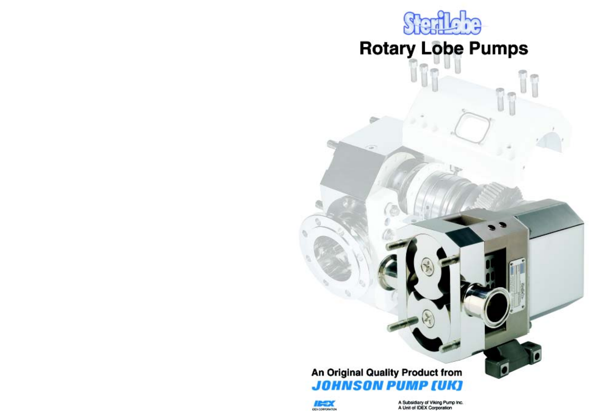

# **Rotary Lobe Pumps**

T

 $\sqrt{2}$ 

# An Original Quality Product from **JOHNSON PUMP [UK]**



A Subsidiary of Viking Pump Inc. A Unit of IDEX Corporation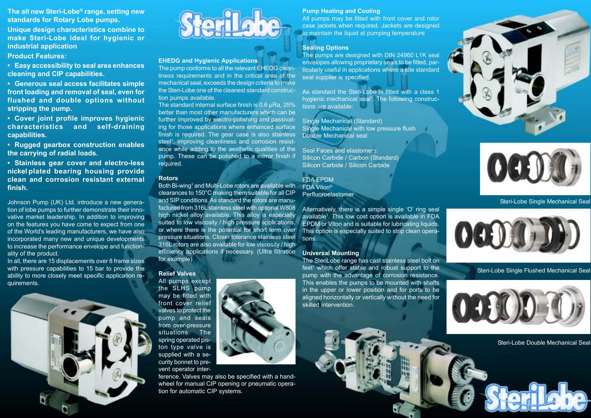**The all new Steri-Lobe® range, setting new standards for Rotary Lobe pumps.**

**Unique design characteristics combine to make Steri-Lobe ideal for hygienic or industrial application**

**Product Features:**

**• Easy accessibility to seal area enhances cleaning and CIP capabilities.**

**• Generous seal access facilitates simple front loading and removal of seal, even for flushed and double options without stripping the pump.**

**• Cover joint profile improves hygienic characteristics and self-draining capabilities.**

**• Rugged gearbox construction enables the carrying of radial loads.**

**• Stainless gear cover and electro-less nickel plated bearing housing provide clean and corrosion resistant external finish.**

Johnson Pump (UK) Ltd. introduce a new generation of lobe pumps to further demonstrate their innovative market leadership. In addition to improving on the features you have come to expect from one of the World's leading manufacturers, we have also incorporated many new and unique developments to increase the performance envelope and functionality of the product.

In all, there are 15 displacements over 8 frame sizes with pressure capabilities to 15 bar to provide the ability to more closely meet specific application requirements.





#### **EHEDG and Hygienic Applications**

The pump conforms to all the relevant EHEDG cleanliness requirements and in the critical area of the mechanical seal, exceeds the design criteria to make the Steri-Lobe one of the cleanest standard construction pumps available.

The standard internal surface finish is 0.6 µRa, 25% better than most other manufacturers which can be further improved by electro-polishing and passivating for those applications where enhanced surface finish is required. The gear case is also stainless steel<sup>1</sup>, improving cleanliness and corrosion resistance while adding to the aesthetic qualities of the pump. These can be polished to a mirror finish if required.

#### **Rotors**

Both Bi-wing<sup>1</sup> and Multi-Lobe rotors are available with clearances to 150°C making them suitable for all CIP and SIP conditions. As standard the rotors are manufactured from 316L stainless steel with optional W808 high nickel alloy available. This alloy is especially suited to low viscosity / high pressure applications, or where there is the potential for short term over pressure situations. Closer tolerance stainless steel 316L rotors are also available for low viscosity / high efficiency applications if necessary. (Ultra filtration for example)

**Relief Valves**

All pumps except the SLHS pump may be fitted with front cover relief valves to protect the pump and seals from over-pressure situations. The spring operated piston type valve is supplied with a security bonnet to prevent operator inter-

ference. Valves may also be specified with a handwheel for manual CIP opening or pneumatic operation for automatic CIP systems.

#### **Pump Heating and Cooling**

All pumps may be fitted with front cover and rotor case jackets when required. Jackets are designed to maintain the liquid at pumping temperature

## **Sealing Options**

The pumps are designed with DIN 24960 L1K seal envelopes allowing proprietary seals to be fitted, particularly useful in applications where a site standard seal supplier is specified.

As standard the Steri-Lobe is fitted with a class 1 hygienic mechanical seal<sup>1</sup>. The following constructions are available:

Single Mechanical (Standard) Single Mechanical with low pressure flush Double Mechanical seal

Seal Faces and elastomers: Silicon Carbide / Carbon (Standard) Silicon Carbide / Silicon Carbide

FDA EPDM

FDA Viton® Perfluoroelastomer

Alternatively, there is a simple single 'O' ring seal available1. This low cost option is available in FDA EPDM or Viton and is suitable for lubricating liquids. This option is especially suited to strip clean operations.

#### **Universal Mounting**

The SteriLobe range has cast stainless steel bolt on feet<sup>1</sup> which offer stable and robust support to the pump with the advantage of corrosion resistance. This enables the pumps to be mounted with shafts in the upper or lower position and for ports to be aligned horizontally or vertically without the need for skilled intervention.





Steri-Lobe Single Mechanical Seal



Steri-Lobe Single Flushed Mechanical Seal



Steri-Lobe Double Mechanical Seal